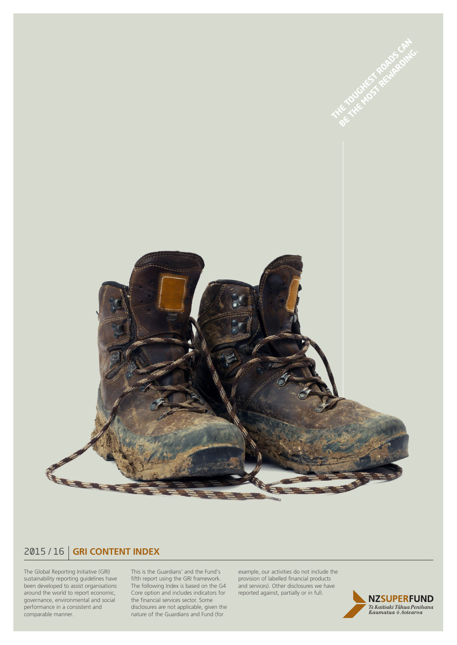

## 2015 / 16 **GRI CONTENT INDEX**

The Global Reporting Initiative (GRI) sustainability reporting guidelines have been developed to assist organisations around the world to report economic, governance, environmental and social performance in a consistent and comparable manner.

This is the Guardians' and the Fund's fifth report using the GRI framework. The following Index is based on the G4 Core option and includes indicators for the financial services sector. Some disclosures are not applicable, given the nature of the Guardians and Fund (for

example, our activities do not include the provision of labelled financial products and services). Other disclosures we have reported against, partially or in full.

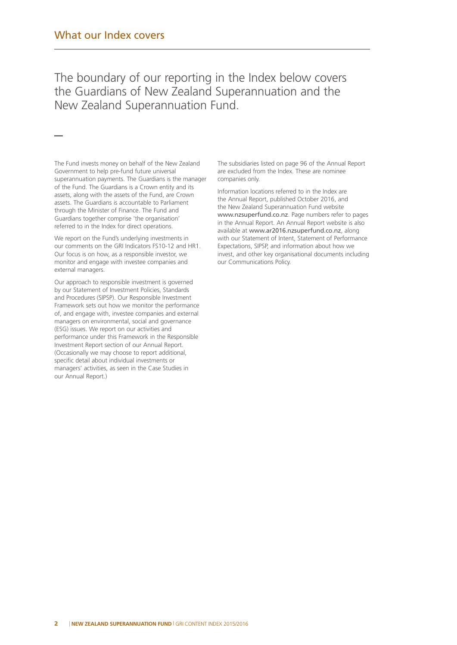—

The boundary of our reporting in the Index below covers the Guardians of New Zealand Superannuation and the New Zealand Superannuation Fund.

The Fund invests money on behalf of the New Zealand Government to help pre-fund future universal superannuation payments. The Guardians is the manager of the Fund. The Guardians is a Crown entity and its assets, along with the assets of the Fund, are Crown assets. The Guardians is accountable to Parliament through the Minister of Finance. The Fund and Guardians together comprise 'the organisation' referred to in the Index for direct operations.

We report on the Fund's underlying investments in our comments on the GRI Indicators FS10-12 and HR1. Our focus is on how, as a responsible investor, we monitor and engage with investee companies and external managers.

Our approach to responsible investment is governed by our Statement of Investment Policies, Standards and Procedures (SIPSP). Our Responsible Investment Framework sets out how we monitor the performance of, and engage with, investee companies and external managers on environmental, social and governance (ESG) issues. We report on our activities and performance under this Framework in the Responsible Investment Report section of our Annual Report. (Occasionally we may choose to report additional, specific detail about individual investments or managers' activities, as seen in the Case Studies in our Annual Report.)

The subsidiaries listed on page 96 of the Annual Report are excluded from the Index. These are nominee companies only.

Information locations referred to in the Index are the Annual Report, published October 2016, and the New Zealand Superannuation Fund website www.nzsuperfund.co.nz. Page numbers refer to pages in the Annual Report. An Annual Report website is also available at www.ar2016.nzsuperfund.co.nz, along with our Statement of Intent, Statement of Performance Expectations, SIPSP, and information about how we invest, and other key organisational documents including our Communications Policy.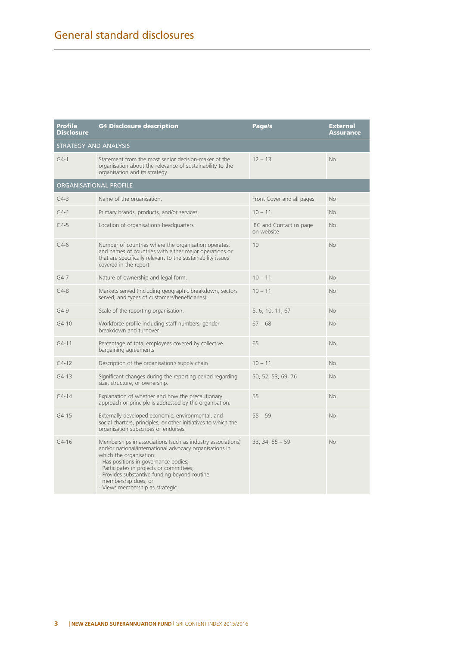| <b>Profile</b><br>Disclosure  | <b>G4 Disclosure description</b><br>Page/s                                                                                                                                                                                                                                                                                                        |                                       | External<br>Assurance |  |  |  |
|-------------------------------|---------------------------------------------------------------------------------------------------------------------------------------------------------------------------------------------------------------------------------------------------------------------------------------------------------------------------------------------------|---------------------------------------|-----------------------|--|--|--|
| <b>STRATEGY AND ANALYSIS</b>  |                                                                                                                                                                                                                                                                                                                                                   |                                       |                       |  |  |  |
| $G4-1$                        | Statement from the most senior decision-maker of the<br>$12 - 13$<br>organisation about the relevance of sustainability to the<br>organisation and its strategy.                                                                                                                                                                                  |                                       | <b>No</b>             |  |  |  |
| <b>ORGANISATIONAL PROFILE</b> |                                                                                                                                                                                                                                                                                                                                                   |                                       |                       |  |  |  |
| $G4-3$                        | Name of the organisation.                                                                                                                                                                                                                                                                                                                         | Front Cover and all pages             | <b>No</b>             |  |  |  |
| $G4-4$                        | Primary brands, products, and/or services.                                                                                                                                                                                                                                                                                                        | $10 - 11$                             | <b>No</b>             |  |  |  |
| $G4-5$                        | Location of organisation's headquarters                                                                                                                                                                                                                                                                                                           | IBC and Contact us page<br>on website | <b>No</b>             |  |  |  |
| $G4-6$                        | Number of countries where the organisation operates,<br>and names of countries with either major operations or<br>that are specifically relevant to the sustainability issues<br>covered in the report.                                                                                                                                           | 10                                    | <b>No</b>             |  |  |  |
| $G4-7$                        | Nature of ownership and legal form.                                                                                                                                                                                                                                                                                                               | $10 - 11$                             | <b>No</b>             |  |  |  |
| $G4-8$                        | Markets served (including geographic breakdown, sectors<br>served, and types of customers/beneficiaries).                                                                                                                                                                                                                                         | $10 - 11$                             | <b>No</b>             |  |  |  |
| $G4-9$                        | Scale of the reporting organisation.                                                                                                                                                                                                                                                                                                              | 5, 6, 10, 11, 67                      | <b>No</b>             |  |  |  |
| $G4 - 10$                     | Workforce profile including staff numbers, gender<br>breakdown and turnover.                                                                                                                                                                                                                                                                      | $67 - 68$                             | <b>No</b>             |  |  |  |
| $G4 - 11$                     | Percentage of total employees covered by collective<br>bargaining agreements                                                                                                                                                                                                                                                                      | 65                                    | <b>No</b>             |  |  |  |
| $G4-12$                       | Description of the organisation's supply chain                                                                                                                                                                                                                                                                                                    | $10 - 11$                             | <b>No</b>             |  |  |  |
| $G4-13$                       | Significant changes during the reporting period regarding<br>size, structure, or ownership.                                                                                                                                                                                                                                                       | 50, 52, 53, 69, 76                    | <b>No</b>             |  |  |  |
| $G4 - 14$                     | Explanation of whether and how the precautionary<br>approach or principle is addressed by the organisation.                                                                                                                                                                                                                                       | 55                                    | <b>No</b>             |  |  |  |
| $G4-15$                       | Externally developed economic, environmental, and<br>social charters, principles, or other initiatives to which the<br>organisation subscribes or endorses.                                                                                                                                                                                       | $55 - 59$                             | <b>No</b>             |  |  |  |
| $G4 - 16$                     | Memberships in associations (such as industry associations)<br>and/or national/international advocacy organisations in<br>which the organisation:<br>- Has positions in governance bodies;<br>Participates in projects or committees;<br>- Provides substantive funding beyond routine<br>membership dues; or<br>- Views membership as strategic. | $33, 34, 55 - 59$                     | <b>No</b>             |  |  |  |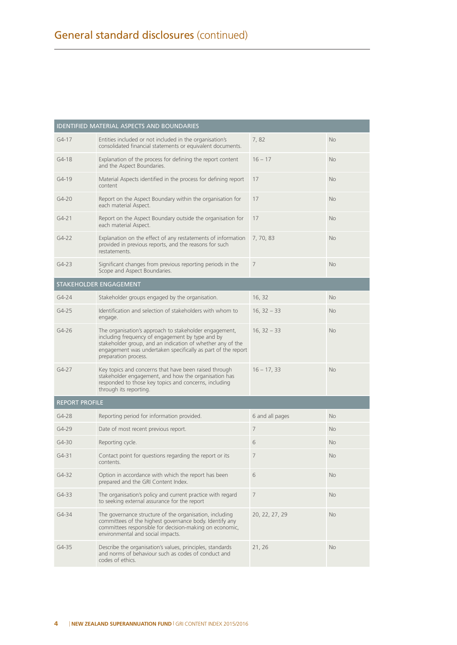| <b>IDENTIFIED MATERIAL ASPECTS AND BOUNDARIES</b> |                                                                                                                                                                                                                                                                  |                 |           |  |  |
|---------------------------------------------------|------------------------------------------------------------------------------------------------------------------------------------------------------------------------------------------------------------------------------------------------------------------|-----------------|-----------|--|--|
| $G4 - 17$                                         | Entities included or not included in the organisation's<br>consolidated financial statements or equivalent documents.                                                                                                                                            | 7,82            | <b>No</b> |  |  |
| $G4-18$                                           | Explanation of the process for defining the report content<br>and the Aspect Boundaries.                                                                                                                                                                         | $16 - 17$       | <b>No</b> |  |  |
| $G4-19$                                           | Material Aspects identified in the process for defining report<br>content                                                                                                                                                                                        | 17              | <b>No</b> |  |  |
| $G4 - 20$                                         | Report on the Aspect Boundary within the organisation for<br>each material Aspect.                                                                                                                                                                               | 17              | <b>No</b> |  |  |
| $G4 - 21$                                         | Report on the Aspect Boundary outside the organisation for<br>each material Aspect.                                                                                                                                                                              | 17              | <b>No</b> |  |  |
| $G4-22$                                           | Explanation on the effect of any restatements of information<br>provided in previous reports, and the reasons for such<br>restatements.                                                                                                                          | 7, 70, 83       | <b>No</b> |  |  |
| $G4-23$                                           | Significant changes from previous reporting periods in the<br>Scope and Aspect Boundaries.                                                                                                                                                                       | $\overline{7}$  | <b>No</b> |  |  |
|                                                   | STAKEHOLDER ENGAGEMENT                                                                                                                                                                                                                                           |                 |           |  |  |
| $G4 - 24$                                         | Stakeholder groups engaged by the organisation.                                                                                                                                                                                                                  | 16, 32          | <b>No</b> |  |  |
| $G4-25$                                           | Identification and selection of stakeholders with whom to<br>engage.                                                                                                                                                                                             | $16, 32 - 33$   | <b>No</b> |  |  |
| $G4-26$                                           | The organisation's approach to stakeholder engagement,<br>including frequency of engagement by type and by<br>stakeholder group, and an indication of whether any of the<br>engagement was undertaken specifically as part of the report<br>preparation process. | $16, 32 - 33$   | <b>No</b> |  |  |
| $G4-27$                                           | Key topics and concerns that have been raised through<br>stakeholder engagement, and how the organisation has<br>responded to those key topics and concerns, including<br>through its reporting.                                                                 | $16 - 17, 33$   | <b>No</b> |  |  |
| <b>REPORT PROFILE</b>                             |                                                                                                                                                                                                                                                                  |                 |           |  |  |
| $G4-28$                                           | Reporting period for information provided.                                                                                                                                                                                                                       | 6 and all pages | <b>No</b> |  |  |
| $G4-29$                                           | Date of most recent previous report.                                                                                                                                                                                                                             | $\overline{7}$  | <b>No</b> |  |  |
| $G4 - 30$                                         | Reporting cycle.                                                                                                                                                                                                                                                 | 6               | <b>No</b> |  |  |
| $G4 - 31$                                         | Contact point for questions regarding the report or its<br>contents.                                                                                                                                                                                             | $\overline{7}$  | <b>No</b> |  |  |
| $G4 - 32$                                         | Option in accordance with which the report has been<br>prepared and the GRI Content Index.                                                                                                                                                                       | 6               | <b>No</b> |  |  |
| G4-33                                             | The organisation's policy and current practice with regard<br>to seeking external assurance for the report                                                                                                                                                       | 7               | No        |  |  |
| G4-34                                             | The governance structure of the organisation, including<br>committees of the highest governance body. Identify any<br>committees responsible for decision-making on economic,<br>environmental and social impacts.                                               | 20, 22, 27, 29  | No        |  |  |
| G4-35                                             | Describe the organisation's values, principles, standards<br>and norms of behaviour such as codes of conduct and<br>codes of ethics.                                                                                                                             | 21, 26          | <b>No</b> |  |  |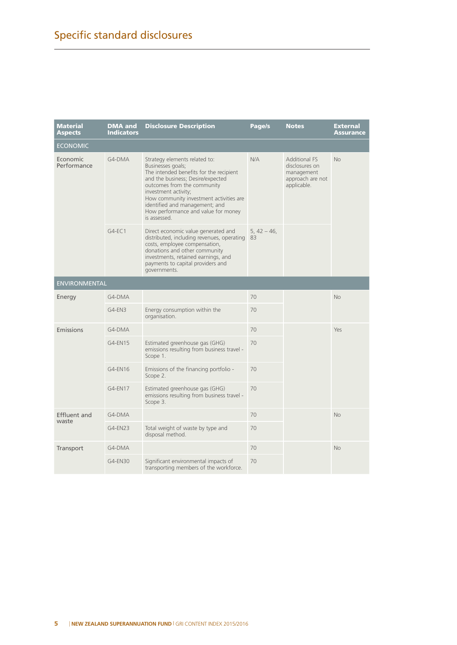| Material<br><b>Aspects</b>   | <b>DMA and</b><br><b>Indicators</b> | <b>Disclosure Description</b>                                                                                                                                                                                                                                                                                                 | Page/s              | <b>Notes</b>                                                                            | External<br>Assurance |  |
|------------------------------|-------------------------------------|-------------------------------------------------------------------------------------------------------------------------------------------------------------------------------------------------------------------------------------------------------------------------------------------------------------------------------|---------------------|-----------------------------------------------------------------------------------------|-----------------------|--|
| <b>ECONOMIC</b>              |                                     |                                                                                                                                                                                                                                                                                                                               |                     |                                                                                         |                       |  |
| Economic<br>Performance      | $G4-DMA$                            | Strategy elements related to:<br>Businesses goals;<br>The intended benefits for the recipient<br>and the business; Desire/expected<br>outcomes from the community<br>investment activity;<br>How community investment activities are<br>identified and management; and<br>How performance and value for money<br>is assessed. | N/A                 | <b>Additional FS</b><br>disclosures on<br>management<br>approach are not<br>applicable. | <b>No</b>             |  |
|                              | $G4-EC.1$                           | Direct economic value generated and<br>distributed, including revenues, operating<br>costs, employee compensation,<br>donations and other community<br>investments, retained earnings, and<br>payments to capital providers and<br>governments.                                                                               | $5, 42 - 46,$<br>83 |                                                                                         |                       |  |
| <b>ENVIRONMENTAL</b>         |                                     |                                                                                                                                                                                                                                                                                                                               |                     |                                                                                         |                       |  |
| Energy                       | G4-DMA                              |                                                                                                                                                                                                                                                                                                                               | 70                  |                                                                                         | <b>No</b>             |  |
|                              | G4-EN3                              | Energy consumption within the<br>organisation.                                                                                                                                                                                                                                                                                | 70                  |                                                                                         |                       |  |
| Emissions                    | G4-DMA                              |                                                                                                                                                                                                                                                                                                                               | 70                  |                                                                                         | Yes                   |  |
|                              | G4-EN15                             | Estimated greenhouse gas (GHG)<br>emissions resulting from business travel -<br>Scope 1.                                                                                                                                                                                                                                      | 70                  |                                                                                         |                       |  |
|                              | G4-EN16                             | Emissions of the financing portfolio -<br>Scope 2.                                                                                                                                                                                                                                                                            | 70                  |                                                                                         |                       |  |
|                              | G4-EN17                             | Estimated greenhouse gas (GHG)<br>emissions resulting from business travel -<br>Scope 3.                                                                                                                                                                                                                                      | 70                  |                                                                                         |                       |  |
| <b>Effluent and</b><br>waste | G4-DMA                              |                                                                                                                                                                                                                                                                                                                               | 70                  |                                                                                         | <b>No</b>             |  |
|                              | $G4$ -EN23                          | Total weight of waste by type and<br>disposal method.                                                                                                                                                                                                                                                                         | 70                  |                                                                                         |                       |  |
| Transport                    | G4-DMA                              |                                                                                                                                                                                                                                                                                                                               | 70                  |                                                                                         | <b>No</b>             |  |
|                              | G4-EN30                             | Significant environmental impacts of<br>transporting members of the workforce.                                                                                                                                                                                                                                                | 70                  |                                                                                         |                       |  |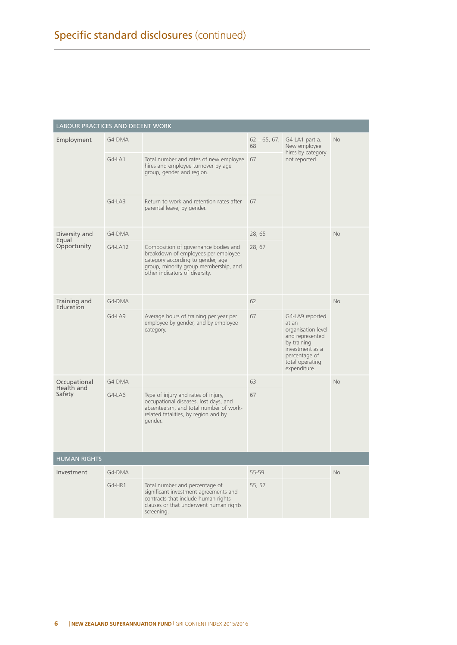| LABOUR PRACTICES AND DECENT WORK |          |                                                                                                                                                                                             |                      |                                                                                                                                                         |           |
|----------------------------------|----------|---------------------------------------------------------------------------------------------------------------------------------------------------------------------------------------------|----------------------|---------------------------------------------------------------------------------------------------------------------------------------------------------|-----------|
| Employment                       | G4-DMA   |                                                                                                                                                                                             | $62 - 65, 67,$<br>68 | G4-LA1 part a.<br>New employee<br>hires by category<br>not reported.                                                                                    | <b>No</b> |
|                                  | $G4-LA1$ | Total number and rates of new employee<br>hires and employee turnover by age<br>group, gender and region.                                                                                   | 67                   |                                                                                                                                                         |           |
|                                  | $G4-LA3$ | Return to work and retention rates after<br>parental leave, by gender.                                                                                                                      | 67                   |                                                                                                                                                         |           |
| Diversity and                    | G4-DMA   |                                                                                                                                                                                             | 28, 65               |                                                                                                                                                         | <b>No</b> |
| Equal<br>Opportunity             | G4-LA12  | Composition of governance bodies and<br>breakdown of employees per employee<br>category according to gender, age<br>group, minority group membership, and<br>other indicators of diversity. | 28, 67               |                                                                                                                                                         |           |
| Training and<br>Education        | G4-DMA   |                                                                                                                                                                                             | 62                   |                                                                                                                                                         | <b>No</b> |
|                                  | G4-LA9   | Average hours of training per year per<br>employee by gender, and by employee<br>category.                                                                                                  | 67                   | G4-LA9 reported<br>at an<br>organisation level<br>and represented<br>by training<br>investment as a<br>percentage of<br>total operating<br>expenditure. |           |
| Occupational<br>Health and       | G4-DMA   |                                                                                                                                                                                             | 63                   |                                                                                                                                                         | <b>No</b> |
| Safety                           | G4-LA6   | Type of injury and rates of injury,<br>occupational diseases, lost days, and<br>absenteeism, and total number of work-<br>related fatalities, by region and by<br>gender.                   | 67                   |                                                                                                                                                         |           |
| <b>HUMAN RIGHTS</b>              |          |                                                                                                                                                                                             |                      |                                                                                                                                                         |           |
| Investment                       | G4-DMA   |                                                                                                                                                                                             | 55-59                |                                                                                                                                                         | <b>No</b> |
|                                  | G4-HR1   | Total number and percentage of<br>significant investment agreements and<br>contracts that include human rights<br>clauses or that underwent human rights<br>screening.                      | 55, 57               |                                                                                                                                                         |           |